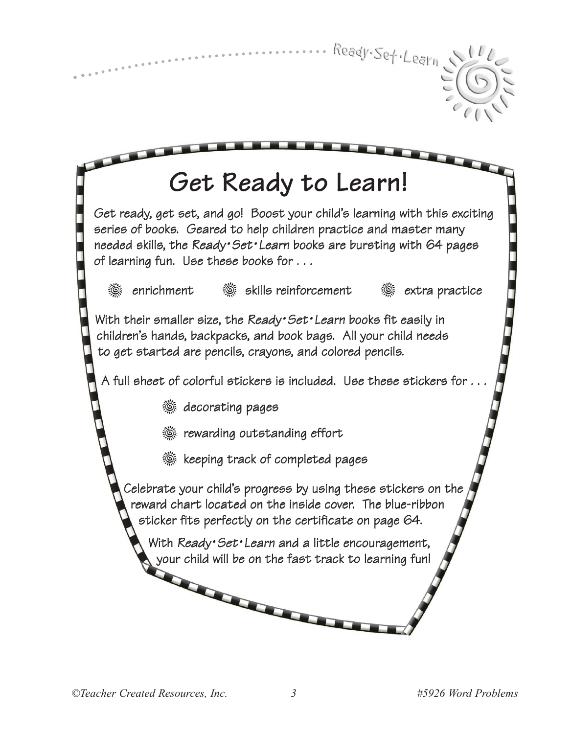

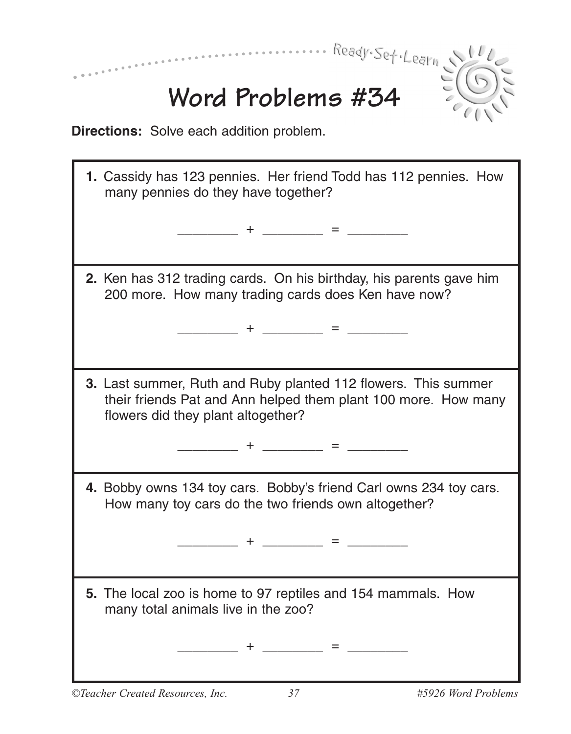| 1. Cassidy has 123 pennies. Her friend Todd has 112 pennies. How<br>many pennies do they have together?                                                                |
|------------------------------------------------------------------------------------------------------------------------------------------------------------------------|
| ______________ = ____________                                                                                                                                          |
| 2. Ken has 312 trading cards. On his birthday, his parents gave him<br>200 more. How many trading cards does Ken have now?                                             |
|                                                                                                                                                                        |
| 3. Last summer, Ruth and Ruby planted 112 flowers. This summer<br>their friends Pat and Ann helped them plant 100 more. How many<br>flowers did they plant altogether? |
| $+$ <u>_ _ _ _</u> = _ _ _ _ _ _ _ _                                                                                                                                   |
| 4. Bobby owns 134 toy cars. Bobby's friend Carl owns 234 toy cars.<br>How many toy cars do the two friends own altogether?                                             |
| + _______ = ____                                                                                                                                                       |
| 5. The local zoo is home to 97 reptiles and 154 mammals. How<br>many total animals live in the zoo?                                                                    |
|                                                                                                                                                                        |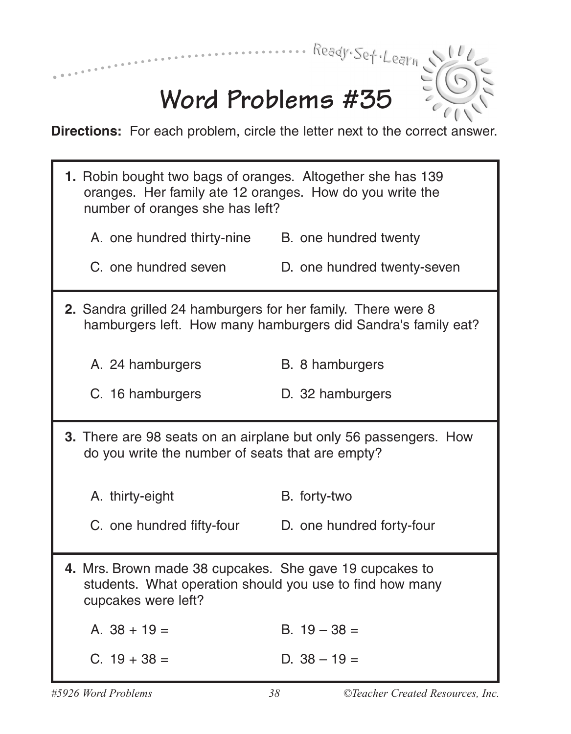

## **Word Problems #35**

**Directions:** For each problem, circle the letter next to the correct answer.

| 1. Robin bought two bags of oranges. Altogether she has 139<br>oranges. Her family ate 12 oranges. How do you write the<br>number of oranges she has left? |                             |  |  |
|------------------------------------------------------------------------------------------------------------------------------------------------------------|-----------------------------|--|--|
| A. one hundred thirty-nine                                                                                                                                 | B. one hundred twenty       |  |  |
| C. one hundred seven                                                                                                                                       | D. one hundred twenty-seven |  |  |
| 2. Sandra grilled 24 hamburgers for her family. There were 8<br>hamburgers left. How many hamburgers did Sandra's family eat?                              |                             |  |  |
| A. 24 hamburgers                                                                                                                                           | B. 8 hamburgers             |  |  |
| C. 16 hamburgers                                                                                                                                           | D. 32 hamburgers            |  |  |
| 3. There are 98 seats on an airplane but only 56 passengers. How<br>do you write the number of seats that are empty?                                       |                             |  |  |
|                                                                                                                                                            |                             |  |  |
| A. thirty-eight                                                                                                                                            | B. forty-two                |  |  |
| C. one hundred fifty-four                                                                                                                                  | D. one hundred forty-four   |  |  |
| 4. Mrs. Brown made 38 cupcakes. She gave 19 cupcakes to<br>students. What operation should you use to find how many<br>cupcakes were left?                 |                             |  |  |
| A. $38 + 19 =$                                                                                                                                             | B. $19 - 38 =$              |  |  |